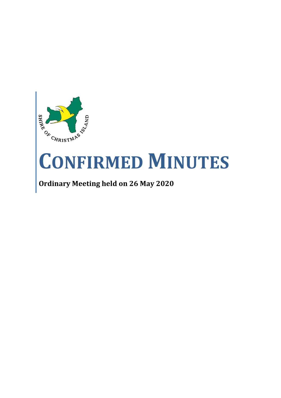

# **CONFIRMED MINUTES**

## **Ordinary Meeting held on 26 May 2020**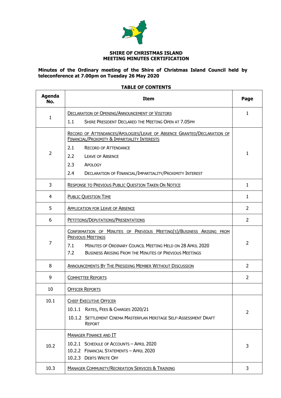

#### **SHIRE OF CHRISTMAS ISLAND MEETING MINUTES CERTIFICATION**

#### **Minutes of the Ordinary meeting of the Shire of Christmas Island Council held by teleconference at 7.00pm on Tuesday 26 May 2020**

### **TABLE OF CONTENTS**

| <b>Agenda</b><br>No. | <b>Item</b>                                                                                                                                                                                                                                  | Page           |  |  |  |  |  |  |
|----------------------|----------------------------------------------------------------------------------------------------------------------------------------------------------------------------------------------------------------------------------------------|----------------|--|--|--|--|--|--|
|                      | <b>DECLARATION OF OPENING/ANNOUNCEMENT OF VISITORS</b>                                                                                                                                                                                       | $\mathbf{1}$   |  |  |  |  |  |  |
| $\mathbf{1}$         | 1.1<br>SHIRE PRESIDENT DECLARED THE MEETING OPEN AT 7.05PM                                                                                                                                                                                   |                |  |  |  |  |  |  |
|                      | RECORD OF ATTENDANCES/APOLOGIES/LEAVE OF ABSENCE GRANTED/DECLARATION OF<br><b>FINANCIAL/PROXIMITY &amp; IMPARTIALITY INTERESTS</b>                                                                                                           |                |  |  |  |  |  |  |
|                      | 2.1<br><b>RECORD OF ATTENDANCE</b>                                                                                                                                                                                                           | 1              |  |  |  |  |  |  |
| $\overline{2}$       | 2.2<br><b>LEAVE OF ABSENCE</b>                                                                                                                                                                                                               |                |  |  |  |  |  |  |
|                      | 2.3<br>APOLOGY                                                                                                                                                                                                                               |                |  |  |  |  |  |  |
|                      | 2.4<br>DECLARATION OF FINANCIAL/IMPARTIALITY/PROXIMITY INTEREST                                                                                                                                                                              |                |  |  |  |  |  |  |
| 3                    | <b>RESPONSE TO PREVIOUS PUBLIC QUESTION TAKEN ON NOTICE</b>                                                                                                                                                                                  | $\mathbf{1}$   |  |  |  |  |  |  |
| 4                    | <b>PUBLIC QUESTION TIME</b>                                                                                                                                                                                                                  | $\mathbf{1}$   |  |  |  |  |  |  |
| 5                    | <b>APPLICATION FOR LEAVE OF ABSENCE</b>                                                                                                                                                                                                      | $\overline{2}$ |  |  |  |  |  |  |
| 6                    | PETITIONS/DEPUTATIONS/PRESENTATIONS                                                                                                                                                                                                          | $\overline{2}$ |  |  |  |  |  |  |
| 7                    | CONFIRMATION OF MINUTES OF PREVIOUS MEETING(S)/BUSINESS ARISING FROM<br><b>PREVIOUS MEETINGS</b><br>MINUTES OF ORDINARY COUNCIL MEETING HELD ON 28 APRIL 2020<br>7.1<br>7.2<br><b>BUSINESS ARISING FROM THE MINUTES OF PREVIOUS MEETINGS</b> | $\overline{2}$ |  |  |  |  |  |  |
| 8                    | ANNOUNCEMENTS BY THE PRESIDING MEMBER WITHOUT DISCUSSION                                                                                                                                                                                     | 2              |  |  |  |  |  |  |
| 9                    | <b>COMMITTEE REPORTS</b>                                                                                                                                                                                                                     | $\overline{2}$ |  |  |  |  |  |  |
| 10                   | <b>OFFICER REPORTS</b>                                                                                                                                                                                                                       |                |  |  |  |  |  |  |
| 10.1                 | <b>CHIEF EXECUTIVE OFFICER</b>                                                                                                                                                                                                               |                |  |  |  |  |  |  |
|                      | 10.1.1 RATES, FEES & CHARGES 2020/21                                                                                                                                                                                                         | $\overline{2}$ |  |  |  |  |  |  |
|                      | 10.1.2 SETTLEMENT CINEMA MASTERPLAN HERITAGE SELF-ASSESSMENT DRAFT<br><b>REPORT</b>                                                                                                                                                          |                |  |  |  |  |  |  |
|                      | <b>MANAGER FINANCE AND IT</b>                                                                                                                                                                                                                |                |  |  |  |  |  |  |
| 10.2                 | 10.2.1 SCHEDULE OF ACCOUNTS - APRIL 2020<br>10.2.2 FINANCIAL STATEMENTS - APRIL 2020<br>10.2.3 DEBTS WRITE OFF                                                                                                                               | 3              |  |  |  |  |  |  |
| 10.3                 | <b>MANAGER COMMUNITY/RECREATION SERVICES &amp; TRAINING</b>                                                                                                                                                                                  | 3              |  |  |  |  |  |  |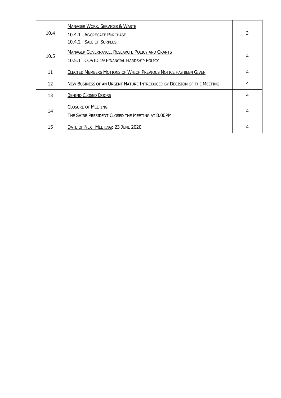| 10.4 | <b>MANAGER WORK, SERVICES &amp; WASTE</b><br>10.4.1 AGGREGATE PURCHASE<br>10.4.2 SALE OF SURPLUS    | 3 |
|------|-----------------------------------------------------------------------------------------------------|---|
| 10.5 | <b>MANAGER GOVERNANCE, RESEARCH, POLICY AND GRANTS</b><br>10.5.1 COVID 19 FINANCIAL HARDSHIP POLICY | 4 |
| 11   | ELECTED MEMBERS MOTIONS OF WHICH PREVIOUS NOTICE HAS BEEN GIVEN                                     | 4 |
| 12   | NEW BUSINESS OF AN URGENT NATURE INTRODUCED BY DECISION OF THE MEETING                              | 4 |
| 13   | <b>BEHIND CLOSED DOORS</b>                                                                          | 4 |
| 14   | <b>CLOSURE OF MEETING</b><br>THE SHIRE PRESIDENT CLOSED THE MEETING AT 8.00PM                       | 4 |
| 15   | DATE OF NEXT MEETING: 23 JUNE 2020                                                                  | 4 |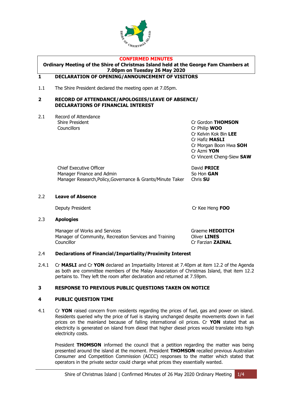

#### **CONFIRMED MINUTES**

**Ordinary Meeting of the Shire of Christmas Island held at the George Fam Chambers at 7.00pm on Tuesday 26 May 2020**

#### <span id="page-3-0"></span>**1 DECLARATION OF OPENING/ANNOUNCEMENT OF VISITORS**

1.1 The Shire President declared the meeting open at 7.05pm.

#### <span id="page-3-1"></span>**2 RECORD OF ATTENDANCE/APOLOGIES/LEAVE OF ABSENCE/ DECLARATIONS OF FINANCIAL INTEREST**

2.1 Record of Attendance Councillors Cr Philip **WOO**

Shire President Cr Gordon **THOMSON** Cr Kelvin Kok Bin **LEE** Cr Hafiz **MASLI** Cr Morgan Boon Hwa **SOH** Cr Azmi **YON** Cr Vincent Cheng-Siew **SAW**

| <b>Chief Executive Officer</b>                             | David <b>PRICE</b> |
|------------------------------------------------------------|--------------------|
| Manager Finance and Admin                                  | So Hon GAN         |
| Manager Research, Policy, Governance & Grants/Minute Taker | Chris <b>SU</b>    |

#### 2.2 **Leave of Absence**

Deputy President Cr Kee Heng **FOO**

#### 2.3 **Apologies**

Manager of Works and Services **Graeme HEDDITCH** Manager of Community, Recreation Services and Training Oliver **LINES** Councillor Cr Farzian **ZAINAL**

#### 2.4 **Declarations of Financial/Impartiality/Proximity Interest**

2.4.1 Cr **MASLI** and Cr **YON** declared an Impartiality Interest at 7.40pm at item 12.2 of the Agenda as both are committee members of the Malay Association of Christmas Island, that item 12.2 pertains to. They left the room after declaration and returned at 7.59pm.

#### <span id="page-3-2"></span>**3 RESPONSE TO PREVIOUS PUBLIC QUESTIONS TAKEN ON NOTICE**

#### <span id="page-3-3"></span>**4 PUBLIC QUESTION TIME**

4.1 Cr **YON** raised concern from residents regarding the prices of fuel, gas and power on island. Residents queried why the price of fuel is staying unchanged despite movements down in fuel prices on the mainland because of falling international oil prices. Cr **YON** stated that as electricity is generated on island from diesel that higher diesel prices would translate into high electricity costs.

President **THOMSON** informed the council that a petition regarding the matter was being presented around the island at the moment. President **THOMSON** recalled previous Australian Consumer and Competition Commission (ACCC) responses to the matter which stated that operators in the private sector could charge what prices they essentially wanted.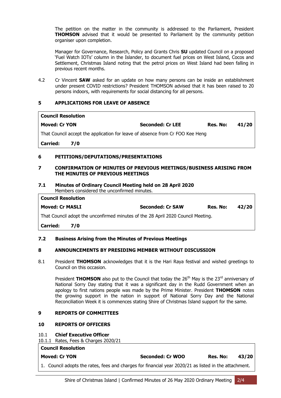The petition on the matter in the community is addressed to the Parliament, President **THOMSON** advised that it would be presented to Parliament by the community petition organiser upon completion.

Manager for Governance, Research, Policy and Grants Chris **SU** updated Council on a proposed 'Fuel Watch IOTs' column in the Islander, to document fuel prices on West Island, Cocos and Settlement, Christmas Island noting that the petrol prices on West Island had been falling in previous recent months.

4.2 Cr Vincent **SAW** asked for an update on how many persons can be inside an establishment under present COVID restrictions? President THOMSON advised that it has been raised to 20 persons indoors, with requirements for social distancing for all persons.

#### <span id="page-4-0"></span>**5 APPLICATIONS FOR LEAVE OF ABSENCE**

| <b>Council Resolution</b>                                                     |                         |          |       |
|-------------------------------------------------------------------------------|-------------------------|----------|-------|
| <b>Moved: Cr YON</b>                                                          | <b>Seconded: Cr LEE</b> | Res. No: | 41/20 |
| That Council accept the application for leave of absence from Cr FOO Kee Heng |                         |          |       |
| <b>Carried:</b><br>7/0                                                        |                         |          |       |
| PETITIONS/DEPUTATIONS/PRESENTATIONS<br>6                                      |                         |          |       |

#### <span id="page-4-2"></span><span id="page-4-1"></span>**7 CONFIRMATION OF MINUTES OF PREVIOUS MEETINGS/BUSINESS ARISING FROM THE MINUTES OF PREVIOUS MEETINGS**

#### **7.1 Minutes of Ordinary Council Meeting held on 28 April 2020** Members considered the unconfirmed minutes.

| <b>Council Resolution</b>                                                        |     |                         |          |       |  |  |  |
|----------------------------------------------------------------------------------|-----|-------------------------|----------|-------|--|--|--|
| <b>Moved: Cr MASLI</b>                                                           |     | <b>Seconded: Cr SAW</b> | Res. No: | 42/20 |  |  |  |
| That Council adopt the unconfirmed minutes of the 28 April 2020 Council Meeting. |     |                         |          |       |  |  |  |
| <b>Carried:</b>                                                                  | 7/0 |                         |          |       |  |  |  |

#### **7.2 Business Arising from the Minutes of Previous Meetings**

#### <span id="page-4-3"></span>**8 ANNOUNCEMENTS BY PRESIDING MEMBER WITHOUT DISCUSSION**

8.1 President **THOMSON** acknowledges that it is the Hari Raya festival and wished greetings to Council on this occasion.

President **THOMSON** also put to the Council that today the 26<sup>th</sup> May is the 23<sup>rd</sup> anniversary of National Sorry Day stating that it was a significant day in the Rudd Government when an apology to first nations people was made by the Prime Minister. President **THOMSON** notes the growing support in the nation in support of National Sorry Day and the National Reconciliation Week it is commences stating Shire of Christmas Island support for the same.

#### <span id="page-4-4"></span>**9 REPORTS OF COMMITTEES**

#### **10 REPORTS OF OFFICERS**

#### <span id="page-4-5"></span>10.1 **Chief Executive Officer**

10.1.1 Rates, Fees & Charges 2020/21

#### **Council Resolution**

| <b>Moved: Cr YON</b> |  |  |  |  | <b>Seconded: Cr WOO</b> |  |  |  |  | Res. No: |  | 43/20 |  |         |  |  |  |  |  |  |
|----------------------|--|--|--|--|-------------------------|--|--|--|--|----------|--|-------|--|---------|--|--|--|--|--|--|
|                      |  |  |  |  |                         |  |  |  |  |          |  |       |  | ------- |  |  |  |  |  |  |

1. Council adopts the rates, fees and charges for financial year 2020/21 as listed in the attachment.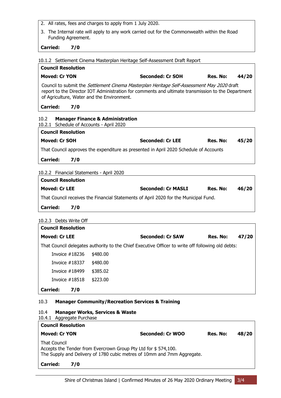- 2. All rates, fees and charges to apply from 1 July 2020.
- 3. The Internal rate will apply to any work carried out for the Commonwealth within the Road Funding Agreement.

#### **Carried: 7/0**

10.1.2 Settlement Cinema Masterplan Heritage Self-Assessment Draft Report

| <b>Council Resolution</b>                                                                                                                                                                                                                      |                         |          |       |
|------------------------------------------------------------------------------------------------------------------------------------------------------------------------------------------------------------------------------------------------|-------------------------|----------|-------|
| <b>Moved: Cr YON</b>                                                                                                                                                                                                                           | <b>Seconded: Cr SOH</b> | Res. No: | 44/20 |
| Council to submit the Settlement Cinema Masterplan Heritage Self-Assessment May 2020 draft<br>report to the Director IOT Administration for comments and ultimate transmission to the Department<br>of Agriculture, Water and the Environment. |                         |          |       |
| <b>Carried:</b><br>7/0                                                                                                                                                                                                                         |                         |          |       |

<span id="page-5-0"></span>

| 10.2                      | <b>Manager Finance &amp; Administration</b>                                           |                         |          |       |  |  |  |  |  |
|---------------------------|---------------------------------------------------------------------------------------|-------------------------|----------|-------|--|--|--|--|--|
|                           | 10.2.1 Schedule of Accounts - April 2020                                              |                         |          |       |  |  |  |  |  |
| <b>Council Resolution</b> |                                                                                       |                         |          |       |  |  |  |  |  |
|                           | Moved: Cr SOH                                                                         | <b>Seconded: Cr LEE</b> | Res. No: | 45/20 |  |  |  |  |  |
|                           | That Council approves the expenditure as presented in April 2020 Schedule of Accounts |                         |          |       |  |  |  |  |  |
| <b>Carried:</b>           | 7/0                                                                                   |                         |          |       |  |  |  |  |  |

#### 10.2.2 Financial Statements - April 2020

| <b>Council Resolution</b> |                                                                                      |                           |          |       |  |  |  |  |  |  |
|---------------------------|--------------------------------------------------------------------------------------|---------------------------|----------|-------|--|--|--|--|--|--|
| Moved: Cr LEE             |                                                                                      | <b>Seconded: Cr MASLI</b> | Res. No: | 46/20 |  |  |  |  |  |  |
|                           | That Council receives the Financial Statements of April 2020 for the Municipal Fund. |                           |          |       |  |  |  |  |  |  |
| <b>Carried:</b>           | 7/0                                                                                  |                           |          |       |  |  |  |  |  |  |

#### 10.2.3 Debts Write Off

| <b>Council Resolution</b> |     |          |                                                                                                   |          |       |
|---------------------------|-----|----------|---------------------------------------------------------------------------------------------------|----------|-------|
| <b>Moved: Cr LEE</b>      |     |          | <b>Seconded: Cr SAW</b>                                                                           | Res. No: | 47/20 |
|                           |     |          | That Council delegates authority to the Chief Executive Officer to write off following old debts: |          |       |
| Invoice $#18236$          |     | \$480.00 |                                                                                                   |          |       |
| Invoice $#18337$          |     | \$480.00 |                                                                                                   |          |       |
| Invoice $#18499$          |     | \$385.02 |                                                                                                   |          |       |
| Invoice $\#18518$         |     | \$223.00 |                                                                                                   |          |       |
| <b>Carried:</b>           | 7/0 |          |                                                                                                   |          |       |

#### <span id="page-5-1"></span>10.3 **Manager Community/Recreation Services & Training**

#### <span id="page-5-2"></span>10.4 **Manager Works, Services & Waste**

<span id="page-5-3"></span>

| 10.4.1 Aggregate Purchase                                                                                                                                        |                  |          |       |
|------------------------------------------------------------------------------------------------------------------------------------------------------------------|------------------|----------|-------|
| <b>Council Resolution</b>                                                                                                                                        |                  |          |       |
| <b>Moved: Cr YON</b>                                                                                                                                             | Seconded: Cr WOO | Res. No: | 48/20 |
| <b>That Council</b><br>Accepts the Tender from Evercrown Group Pty Ltd for \$574,100.<br>The Supply and Delivery of 1780 cubic metres of 10mm and 7mm Aggregate. |                  |          |       |
| <b>Carried:</b><br>7/0                                                                                                                                           |                  |          |       |